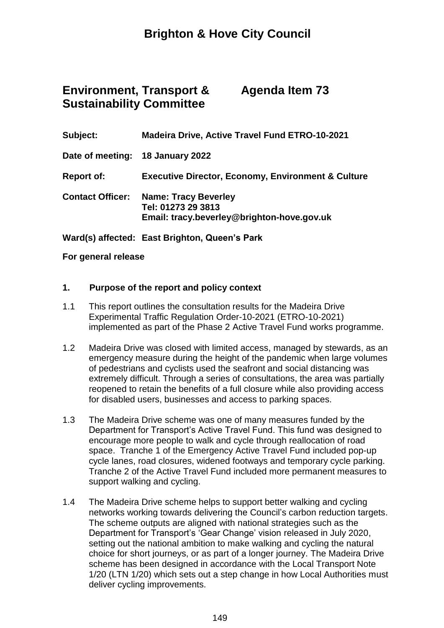# **Brighton & Hove City Council**

#### **Environment, Transport & Sustainability Committee Agenda Item 73**

| Subject:                | <b>Madeira Drive, Active Travel Fund ETRO-10-2021</b>                                           |
|-------------------------|-------------------------------------------------------------------------------------------------|
|                         | Date of meeting: 18 January 2022                                                                |
| <b>Report of:</b>       | <b>Executive Director, Economy, Environment &amp; Culture</b>                                   |
| <b>Contact Officer:</b> | <b>Name: Tracy Beverley</b><br>Tel: 01273 29 3813<br>Email: tracy.beverley@brighton-hove.gov.uk |

**Ward(s) affected: East Brighton, Queen's Park**

#### **For general release**

#### **1. Purpose of the report and policy context**

- 1.1 This report outlines the consultation results for the Madeira Drive Experimental Traffic Regulation Order-10-2021 (ETRO-10-2021) implemented as part of the Phase 2 Active Travel Fund works programme.
- 1.2 Madeira Drive was closed with limited access, managed by stewards, as an emergency measure during the height of the pandemic when large volumes of pedestrians and cyclists used the seafront and social distancing was extremely difficult. Through a series of consultations, the area was partially reopened to retain the benefits of a full closure while also providing access for disabled users, businesses and access to parking spaces.
- 1.3 The Madeira Drive scheme was one of many measures funded by the Department for Transport's Active Travel Fund. This fund was designed to encourage more people to walk and cycle through reallocation of road space. Tranche 1 of the Emergency Active Travel Fund included pop-up cycle lanes, road closures, widened footways and temporary cycle parking. Tranche 2 of the Active Travel Fund included more permanent measures to support walking and cycling.
- 1.4 The Madeira Drive scheme helps to support better walking and cycling networks working towards delivering the Council's carbon reduction targets. The scheme outputs are aligned with national strategies such as the Department for Transport's 'Gear Change' vision released in July 2020, setting out the national ambition to make walking and cycling the natural choice for short journeys, or as part of a longer journey. The Madeira Drive scheme has been designed in accordance with the Local Transport Note 1/20 (LTN 1/20) which sets out a step change in how Local Authorities must deliver cycling improvements.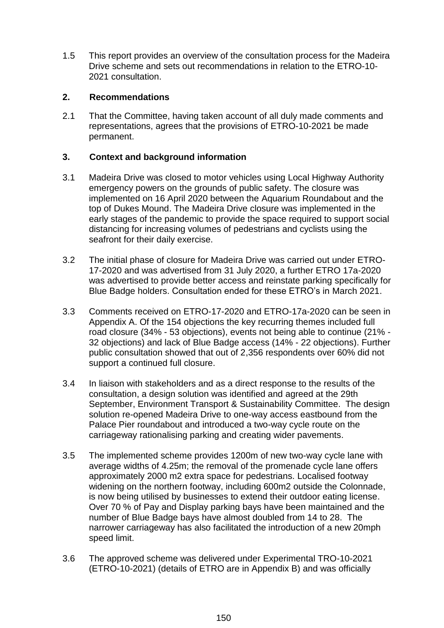1.5 This report provides an overview of the consultation process for the Madeira Drive scheme and sets out recommendations in relation to the ETRO-10- 2021 consultation.

#### **2. Recommendations**

2.1 That the Committee, having taken account of all duly made comments and representations, agrees that the provisions of ETRO-10-2021 be made permanent.

#### **3. Context and background information**

- 3.1 Madeira Drive was closed to motor vehicles using Local Highway Authority emergency powers on the grounds of public safety. The closure was implemented on 16 April 2020 between the Aquarium Roundabout and the top of Dukes Mound. The Madeira Drive closure was implemented in the early stages of the pandemic to provide the space required to support social distancing for increasing volumes of pedestrians and cyclists using the seafront for their daily exercise.
- 3.2 The initial phase of closure for Madeira Drive was carried out under ETRO-17-2020 and was advertised from 31 July 2020, a further ETRO 17a-2020 was advertised to provide better access and reinstate parking specifically for Blue Badge holders. Consultation ended for these ETRO's in March 2021.
- 3.3 Comments received on ETRO-17-2020 and ETRO-17a-2020 can be seen in Appendix A. Of the 154 objections the key recurring themes included full road closure (34% - 53 objections), events not being able to continue (21% - 32 objections) and lack of Blue Badge access (14% - 22 objections). Further public consultation showed that out of 2,356 respondents over 60% did not support a continued full closure.
- 3.4 In liaison with stakeholders and as a direct response to the results of the consultation, a design solution was identified and agreed at the 29th September, Environment Transport & Sustainability Committee. The design solution re-opened Madeira Drive to one-way access eastbound from the Palace Pier roundabout and introduced a two-way cycle route on the carriageway rationalising parking and creating wider pavements.
- 3.5 The implemented scheme provides 1200m of new two-way cycle lane with average widths of 4.25m; the removal of the promenade cycle lane offers approximately 2000 m2 extra space for pedestrians. Localised footway widening on the northern footway, including 600m2 outside the Colonnade, is now being utilised by businesses to extend their outdoor eating license. Over 70 % of Pay and Display parking bays have been maintained and the number of Blue Badge bays have almost doubled from 14 to 28. The narrower carriageway has also facilitated the introduction of a new 20mph speed limit.
- 3.6 The approved scheme was delivered under Experimental TRO-10-2021 (ETRO-10-2021) (details of ETRO are in Appendix B) and was officially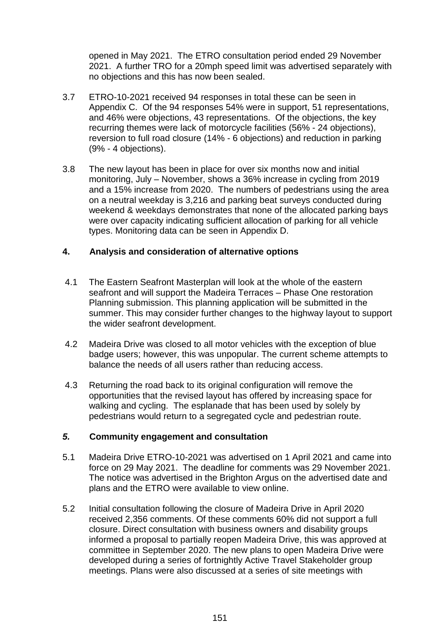opened in May 2021. The ETRO consultation period ended 29 November 2021. A further TRO for a 20mph speed limit was advertised separately with no objections and this has now been sealed.

- 3.7 ETRO-10-2021 received 94 responses in total these can be seen in Appendix C. Of the 94 responses 54% were in support, 51 representations, and 46% were objections, 43 representations. Of the objections, the key recurring themes were lack of motorcycle facilities (56% - 24 objections), reversion to full road closure (14% - 6 objections) and reduction in parking (9% - 4 objections).
- 3.8 The new layout has been in place for over six months now and initial monitoring, July – November, shows a 36% increase in cycling from 2019 and a 15% increase from 2020. The numbers of pedestrians using the area on a neutral weekday is 3,216 and parking beat surveys conducted during weekend & weekdays demonstrates that none of the allocated parking bays were over capacity indicating sufficient allocation of parking for all vehicle types. Monitoring data can be seen in Appendix D.

#### **4. Analysis and consideration of alternative options**

- 4.1 The Eastern Seafront Masterplan will look at the whole of the eastern seafront and will support the Madeira Terraces – Phase One restoration Planning submission. This planning application will be submitted in the summer. This may consider further changes to the highway layout to support the wider seafront development.
- 4.2 Madeira Drive was closed to all motor vehicles with the exception of blue badge users; however, this was unpopular. The current scheme attempts to balance the needs of all users rather than reducing access.
- 4.3 Returning the road back to its original configuration will remove the opportunities that the revised layout has offered by increasing space for walking and cycling. The esplanade that has been used by solely by pedestrians would return to a segregated cycle and pedestrian route.

#### *5.* **Community engagement and consultation**

- 5.1 Madeira Drive ETRO-10-2021 was advertised on 1 April 2021 and came into force on 29 May 2021. The deadline for comments was 29 November 2021. The notice was advertised in the Brighton Argus on the advertised date and plans and the ETRO were available to view online.
- 5.2 Initial consultation following the closure of Madeira Drive in April 2020 received 2,356 comments. Of these comments 60% did not support a full closure. Direct consultation with business owners and disability groups informed a proposal to partially reopen Madeira Drive, this was approved at committee in September 2020. The new plans to open Madeira Drive were developed during a series of fortnightly Active Travel Stakeholder group meetings. Plans were also discussed at a series of site meetings with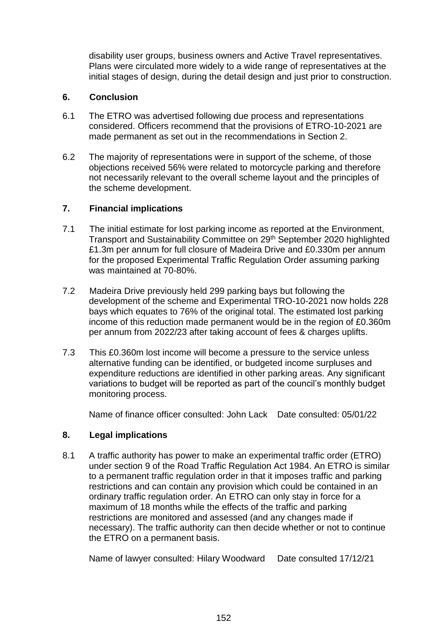disability user groups, business owners and Active Travel representatives. Plans were circulated more widely to a wide range of representatives at the initial stages of design, during the detail design and just prior to construction.

#### **6. Conclusion**

- 6.1 The ETRO was advertised following due process and representations considered. Officers recommend that the provisions of ETRO-10-2021 are made permanent as set out in the recommendations in Section 2.
- 6.2 The majority of representations were in support of the scheme, of those objections received 56% were related to motorcycle parking and therefore not necessarily relevant to the overall scheme layout and the principles of the scheme development.

#### **7. Financial implications**

- 7.1 The initial estimate for lost parking income as reported at the Environment, Transport and Sustainability Committee on 29<sup>th</sup> September 2020 highlighted £1.3m per annum for full closure of Madeira Drive and £0.330m per annum for the proposed Experimental Traffic Regulation Order assuming parking was maintained at 70-80%.
- 7.2 Madeira Drive previously held 299 parking bays but following the development of the scheme and Experimental TRO-10-2021 now holds 228 bays which equates to 76% of the original total. The estimated lost parking income of this reduction made permanent would be in the region of £0.360m per annum from 2022/23 after taking account of fees & charges uplifts.
- 7.3 This £0.360m lost income will become a pressure to the service unless alternative funding can be identified, or budgeted income surpluses and expenditure reductions are identified in other parking areas. Any significant variations to budget will be reported as part of the council's monthly budget monitoring process.

Name of finance officer consulted: John Lack Date consulted: 05/01/22

# **8. Legal implications**

8.1 A traffic authority has power to make an experimental traffic order (ETRO) under section 9 of the Road Traffic Regulation Act 1984. An ETRO is similar to a permanent traffic regulation order in that it imposes traffic and parking restrictions and can contain any provision which could be contained in an ordinary traffic regulation order. An ETRO can only stay in force for a maximum of 18 months while the effects of the traffic and parking restrictions are monitored and assessed (and any changes made if necessary). The traffic authority can then decide whether or not to continue the ETRO on a permanent basis.

Name of lawyer consulted: Hilary Woodward Date consulted 17/12/21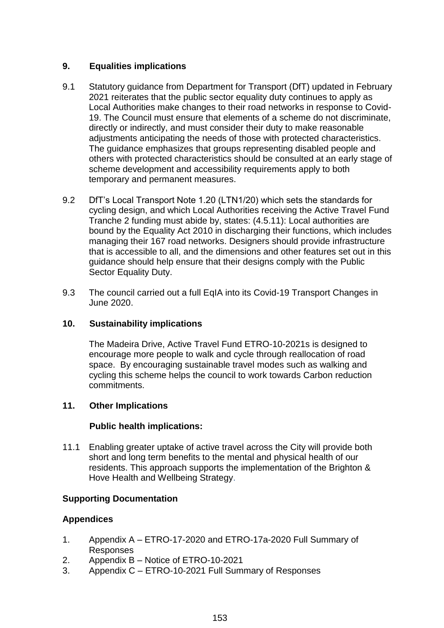# **9. Equalities implications**

- 9.1 Statutory guidance from Department for Transport (DfT) updated in February 2021 reiterates that the public sector equality duty continues to apply as Local Authorities make changes to their road networks in response to Covid-19. The Council must ensure that elements of a scheme do not discriminate, directly or indirectly, and must consider their duty to make reasonable adjustments anticipating the needs of those with protected characteristics. The guidance emphasizes that groups representing disabled people and others with protected characteristics should be consulted at an early stage of scheme development and accessibility requirements apply to both temporary and permanent measures.
- 9.2 DfT's Local Transport Note 1.20 (LTN1/20) which sets the standards for cycling design, and which Local Authorities receiving the Active Travel Fund Tranche 2 funding must abide by, states: (4.5.11): Local authorities are bound by the Equality Act 2010 in discharging their functions, which includes managing their 167 road networks. Designers should provide infrastructure that is accessible to all, and the dimensions and other features set out in this guidance should help ensure that their designs comply with the Public Sector Equality Duty.
- 9.3 The council carried out a full EqIA into its Covid-19 Transport Changes in June 2020.

# **10. Sustainability implications**

The Madeira Drive, Active Travel Fund ETRO-10-2021s is designed to encourage more people to walk and cycle through reallocation of road space. By encouraging sustainable travel modes such as walking and cycling this scheme helps the council to work towards Carbon reduction commitments.

# **11. Other Implications**

# **Public health implications:**

11.1 Enabling greater uptake of active travel across the City will provide both short and long term benefits to the mental and physical health of our residents. This approach supports the implementation of the Brighton & Hove Health and Wellbeing Strategy.

# **Supporting Documentation**

# **Appendices**

- 1. Appendix A ETRO-17-2020 and ETRO-17a-2020 Full Summary of Responses
- 2. Appendix B Notice of ETRO-10-2021
- 3. Appendix C ETRO-10-2021 Full Summary of Responses